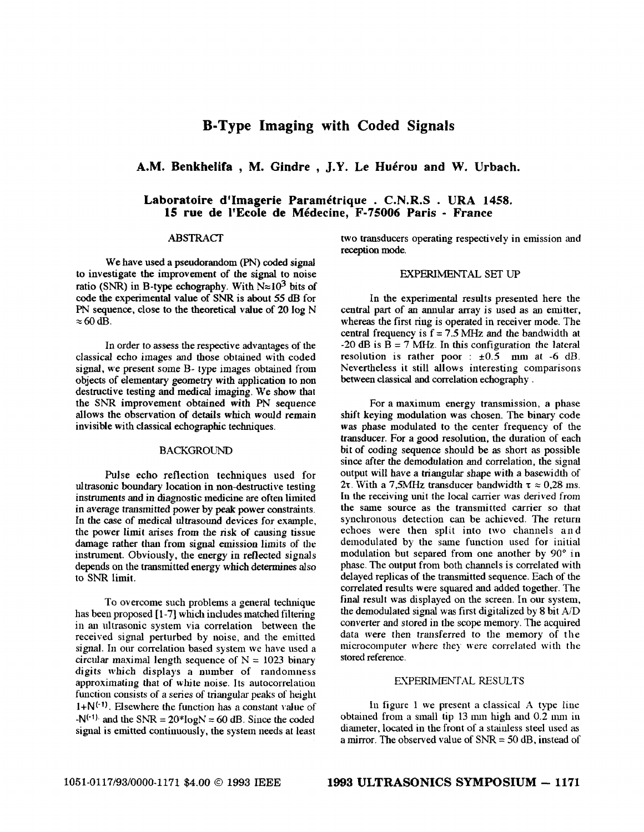# **B-Type Imaging with Coded Signals**

## **A.M. Benkhelifa** , **M. Gindre** , **J.Y. Le Hukrou and W. Urbach.**

## **Laboratoire d'Imagerie Paramétrique . C.N.R.S . URA 1458. 15 rue de 1'Ecole de MCdecine, F-75006 Paris** - **France**

# ABSTRACT

We have used a pseudorandom (PN) *coded* signal to investigate the improvement of the signal to noise ratio *(SNR)* in B-type echography. With  $N \approx 10^3$  bits of code the experimental value of SNR is about 55 dB for PN sequence, close to the theoretical value of 20 log N  $\approx$  60 dB.

In order to assess the respective advantages of the classical echo images and those obtained with coded signal, we present some B- type images obtained from objects of elementary geometry with application to non destructive testing and medical imaging. We show that the *SNR* improvement obtained with PN sequence allows the observation of details which would remain invisible with classical echographic techniques.

## **BACKGROUND**

Pulse echo reflection techniques used for ultrasonic boundary location in non-destructive testing instruments and in diagnostic medicine are often limited in average transmitted power by **peak** power constraints. In the case of medical ultrasound devices for example, the power limit arises from the risk of causing tissue damage rather than from signal emission limits of the instrument. Obviously, the energy in reflected signals depends on the transmitted energy which determines also to SNR limit.

To overcome such problems a general technique has been proposed [ **1-71** which includes matched filtering in **an** ultrasonic system via correlation between the received signal perturbed by noise, and the emitted signal. In our correlation based system we have used a circular maximal length sequence of  $N = 1023$  binary digits which displays a number of randomness approximating that *of'* white noise. Its autocorrelation function consists of a series of triangular peaks of height  $1+N^{(-1)}$ . Elsewhere the function has a constant value of  $-N^{(-1)}$  and the SNR =  $20*logN = 60$  dB. Since the coded signal is emitted continuously, the system needs at least

two transducers operating respectively in emission and reception mode.

### **EXPERIMENTAL SET** *UP*

In the experimental results presented here the central part of an annular array is used as an emitter, whereas the first ring is operated in receiver mode. The central frequency is  $f = 7.5$  MHz and the bandwidth at  $-20$  dB is  $B = 7$  MHz. In this configuration the lateral resolution is rather poor :  $\pm 0.5$  mm at -6 dB. Nevertheless it still allows interesting comparisons between classical and correlation echography .

For a maximum energy transmission, a phase shift keying modulation was chosen. The binary code was phase modulated to the center frequency of the transducer. For a good resolution, the duration of each bit of coding sequence should be **as** short **as** possible since after the demodulation and correlation, the signal output will have a triangular shape with a basewidth of **27.** With a **7,5MHz** transducer bandwidth  $\tau \approx 0.28$  ms. In the receiving **unit** the local carrier was derived from the same source as the transmitted carrier so that synchronous detection can be achieved. The return echoes were then split into two channels and demodulated by the same function used for initial modulation but separed from one another by 90° in phase. The output from both channels is correlated with delayed replicas of the transmitted sequence. Each of the correlated results were squared and added together. The final result **was** displayed on the screen. In our system, the demodulated signal **was** first digitalized by 8 bit AID converter and stored in the scope memory. The acquired data mere then transferred to the memory of the microcomputer where they were correlated with the stored reference.

#### EXPERIMENTAL **RESULTS**

In figure 1 we present **a** classical **A** type line obtained from a small tip  $13 \text{ mm}$  high and  $0.2 \text{ mm}$  in diameter, located in the front of a stainless steel used **as**  a mirror. The observed value of *SNR* = 50 dB. instead of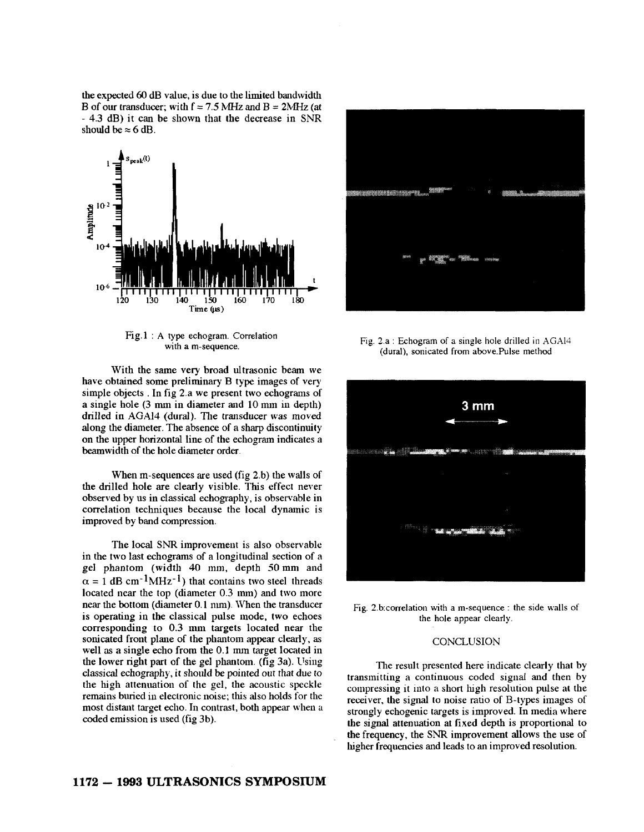the expected *60* dB value, is due to the limited bandwidth B of our transducer; with  $f = 7.5$  MHz and  $B = 2$ MHz (at - 4.3 dB) it can be shown that the decrease in SNR should be  $\approx$  6 dB.



Fig.1 : **A** type echogram. Correlation with **a** m-sequence.

With the same very broad ultrasonic beam we have obtained some preliminary B type images of very simple objects . In fig 2.a we present two echograms of a single hole (3 mm in diameter and 10 mm in depth) drilled in **AGA14** (dural). The transducer was moved along the diameter. The absence of a sharp discontinuity on the upper horizontal line of the echogram indicates a beamwidth of the hole diameter order.

When m-sequences are used (fig 2.b) the walls of the drilled hole are clearly visible. **This** effect never observed by us in classical echography, is observable in correlation techniques because the local dynamic is improved by band compression.

The local SNR improvement is also observable in the two last echograms of a longitudinal section of a gel phantom (width 40 mm, depth 50 mni and  $\alpha = 1$  dB cm<sup>-1</sup>MHz<sup>-1</sup>) that contains two steel threads located near the top (diameter 0.3 **mm)** and two more near the bottom (diameter 0.1 nun). When the transducer is operating in the classical pulse mode, two echoes corresponding to 0.3 mm targets located near the sonicated front plane of the phantom appear clearly, **as**  well **as** a single echo from the 0.1 mm target located in the lower right part of the gel phantom. (fig 3a). Using classical echography, it should be pointed out that due to the high attenuation of the gel, the acoustic speckle remains buried in electronic noise; this also holds for the most distant target echo. **In** contrast, both appear when a coded emission is used (fig 3b).



Fig. **2.a** : Echogram of **a** single hole drilled in AGA14 (dural), sonicated from above.Pulse method



Fig. 2.bcorrelation with a m-sequence : the side **walls** of the hole appear clearly.

## **CONCLUSION**

The result presented here indicate clearly that by transmitting a continuous coded signal and then by compressing it into a short high resolution pulse at the receiver, the signal to noise ratio of B-types images of strongly echogenic targets is improved. In media where the signal attenuation at fixed depth is proportional to the frequency, the *SNR* improvement allows the use of hgher frequencies and leads to an improved resolution.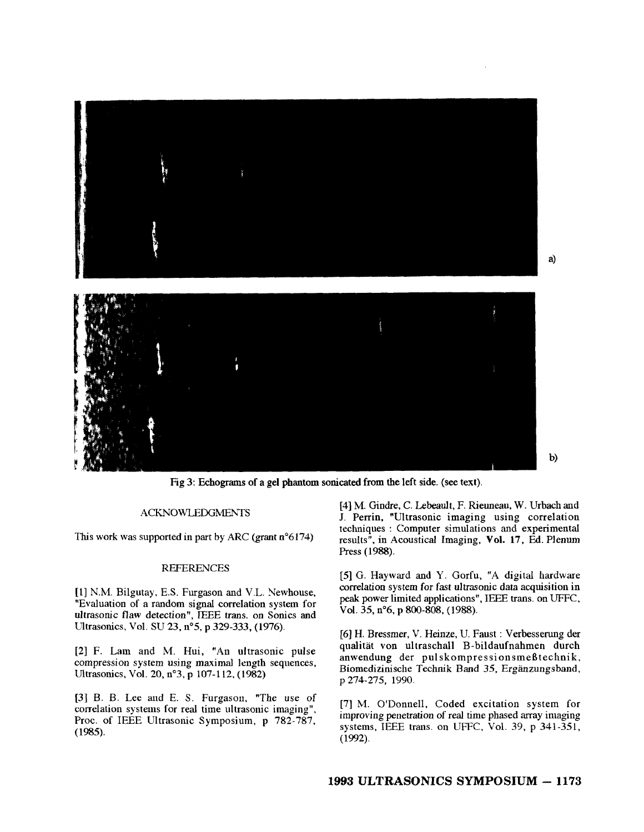

Fig 3: Echograms of **a** gel phantom sonicated from the left side. (see text).

#### ACKNOWLEDGMENTS

This work was supported in part by ARC (grant  $n^{\circ}6174$ )

### REFERENCES

**[l]** N.M. Bilgutay, E.S. Furgason and V.L. Newhouse, "Evaluation of a random signal correlation system for ultrasonic flaw detection", IEEE **trans.** on Sonics and Ultrasonics, Vol. SU **23,** n"5, p **329-333, (1976).** 

**[2] F.** Lain and M. Hui, "An ultrasonic pulse compression system using maximal length sequences, Ultrasonics, Vol. **20, n"3. p 107-1 12, (1982)** 

**[3]** B. **B.** Lee and E. **S.** Furgason, "The use of correlation systems for real time ultrasonic imaging", Proc. of IEEE Ultrasonic Symposium, p **782-787,**  (1985).

**[4]** M. Gindre, C. Lebeault, F. Rieuneau. W. Urbach and J. Perrin, "Ultrasonic imaging using correlation techniques : Computer simulations and experimental results", in Acoustical Imaging, Vol. **17,** Ed. Plenum Press **(1988).** 

**[SI** G. Hayward and Y. Gorfu, "A digital hardware correlation system for fast ultrasonic data acquisition in **peak** power limited applications", IEEE trans. on UFFC, Vol. **35,** n"6, p **800-808, (1988).** 

[6] H. Bressmer, V. Heinze, U. Faust : Verbesserung der qualitat von ultraschall B-bildaufnahmen durch anwendung der pulskompressionsmeßtechnik, Biomedizinische Technik Band 35, Ergänzungsband, p **274-275, 1990.** 

**[7]** M. O'Donnell, Coded excitation system for improving penetration of real time phased array imaging systems, IEEE trans. **011** UFFC, Vol. **39,** p **341-351, (1992).**